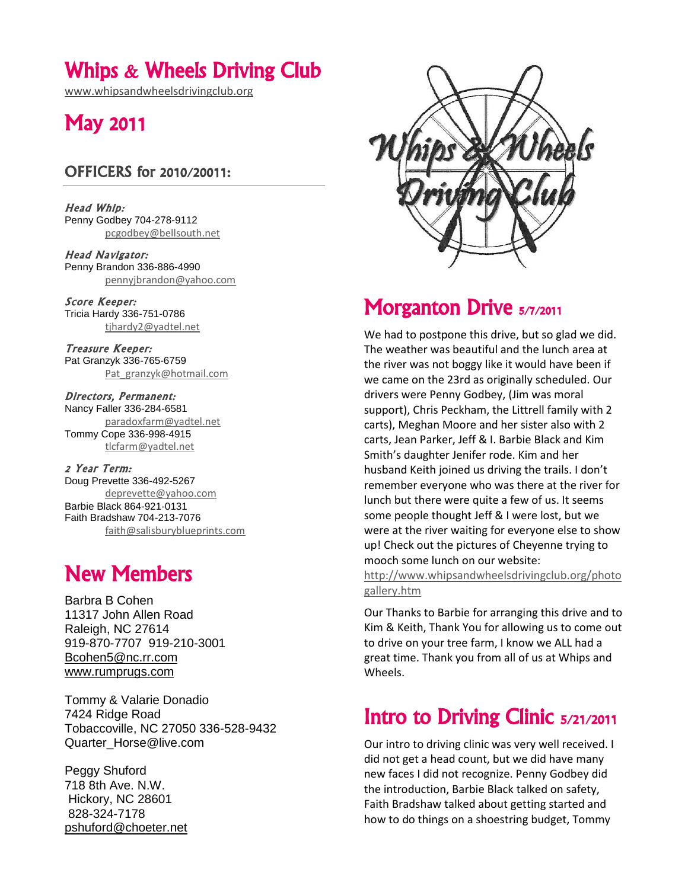## Whips & Wheels Driving Club

[www.whipsandwheelsdrivingclub.org](http://www.whipsandwheelsdrivingclub.org/)

# May 2011

### OFFICERS for 2010/20011:

Head Whip: Penny Godbey 704-278-9112 [pcgodbey@bellsouth.net](mailto:pcgodbey@bellsouth.net)

Head Navigator: Penny Brandon 336-886-4990 [pennyjbrandon@yahoo.com](mailto:pennyjbrandon@yahoo.com)

Score Keeper: Tricia Hardy 336-751-0786 [tjhardy2@yadtel.net](mailto:tjhardy2@yadtel.net)

Treasure Keeper: Pat Granzyk 336-765-6759 [Pat\\_granzyk@hotmail.com](mailto:Pat_granzyk@hotmail.com)

Directors, Permanent: Nancy Faller 336-284-6581 [paradoxfarm@yadtel.net](mailto:paradoxfarm@yadtel.net) Tommy Cope 336-998-4915 [tlcfarm@yadtel.net](mailto:tlcfarm@yadtel.net)

2 Year Term: Doug Prevette 336-492-5267 [deprevette@yahoo.com](mailto:deprevette@yahoo.com) Barbie Black 864-921-0131 Faith Bradshaw 704-213-7076 [faith@salisburyblueprints.com](mailto:faith@salisburyblueprints.com)

# New Members

Barbra B Cohen 11317 John Allen Road Raleigh, NC 27614 919-870-7707 919-210-3001 [Bcohen5@nc.rr.com](mailto:Bcohen5@nc.rr.com) [www.rumprugs.com](http://www.rumprugs.com/)

Tommy & Valarie Donadio 7424 Ridge Road Tobaccoville, NC 27050 336-528-9432 Quarter\_Horse@live.com

Peggy Shuford 718 8th Ave. N.W. Hickory, NC 28601 828-324-7178 [pshuford@choeter.net](mailto:pshuford@choeter.net)



# Morganton Drive 5/7/2011

We had to postpone this drive, but so glad we did. The weather was beautiful and the lunch area at the river was not boggy like it would have been if we came on the 23rd as originally scheduled. Our drivers were Penny Godbey, (Jim was moral support), Chris Peckham, the Littrell family with 2 carts), Meghan Moore and her sister also with 2 carts, Jean Parker, Jeff & I. Barbie Black and Kim Smith's daughter Jenifer rode. Kim and her husband Keith joined us driving the trails. I don't remember everyone who was there at the river for lunch but there were quite a few of us. It seems some people thought Jeff & I were lost, but we were at the river waiting for everyone else to show up! Check out the pictures of Cheyenne trying to mooch some lunch on our website:

[http://www.whipsandwheelsdrivingclub.org/photo](http://www.whipsandwheelsdrivingclub.org/photogallery.htm) [gallery.htm](http://www.whipsandwheelsdrivingclub.org/photogallery.htm)

Our Thanks to Barbie for arranging this drive and to Kim & Keith, Thank You for allowing us to come out to drive on your tree farm, I know we ALL had a great time. Thank you from all of us at Whips and Wheels.

## Intro to Driving Clinic 5/21/2011

Our intro to driving clinic was very well received. I did not get a head count, but we did have many new faces I did not recognize. Penny Godbey did the introduction, Barbie Black talked on safety, Faith Bradshaw talked about getting started and how to do things on a shoestring budget, Tommy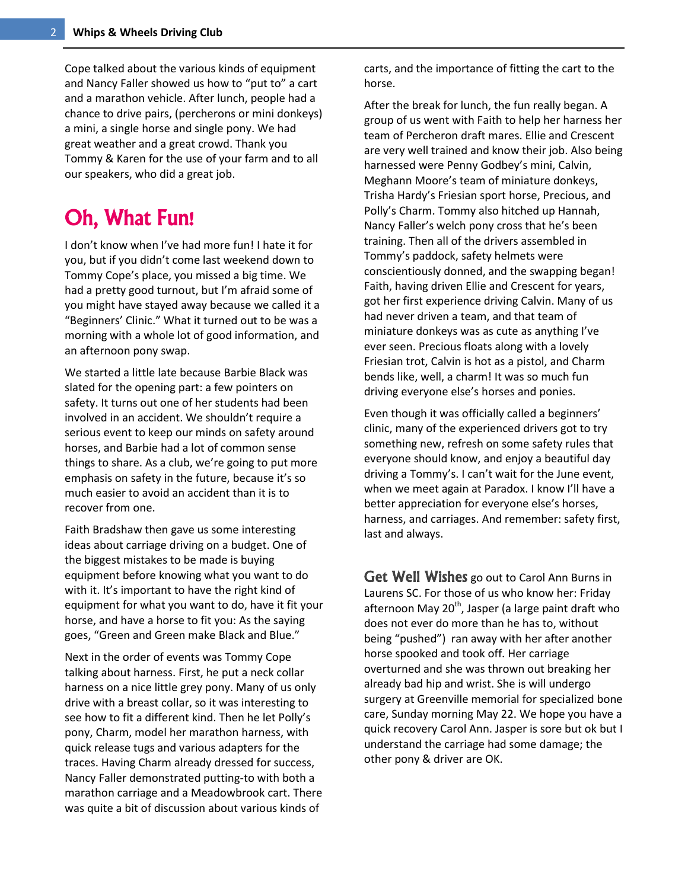Cope talked about the various kinds of equipment and Nancy Faller showed us how to "put to" a cart and a marathon vehicle. After lunch, people had a chance to drive pairs, (percherons or mini donkeys) a mini, a single horse and single pony. We had great weather and a great crowd. Thank you Tommy & Karen for the use of your farm and to all our speakers, who did a great job.

## Oh, What Fun!

I don't know when I've had more fun! I hate it for you, but if you didn't come last weekend down to Tommy Cope's place, you missed a big time. We had a pretty good turnout, but I'm afraid some of you might have stayed away because we called it a "Beginners' Clinic." What it turned out to be was a morning with a whole lot of good information, and an afternoon pony swap.

We started a little late because Barbie Black was slated for the opening part: a few pointers on safety. It turns out one of her students had been involved in an accident. We shouldn't require a serious event to keep our minds on safety around horses, and Barbie had a lot of common sense things to share. As a club, we're going to put more emphasis on safety in the future, because it's so much easier to avoid an accident than it is to recover from one.

Faith Bradshaw then gave us some interesting ideas about carriage driving on a budget. One of the biggest mistakes to be made is buying equipment before knowing what you want to do with it. It's important to have the right kind of equipment for what you want to do, have it fit your horse, and have a horse to fit you: As the saying goes, "Green and Green make Black and Blue."

Next in the order of events was Tommy Cope talking about harness. First, he put a neck collar harness on a nice little grey pony. Many of us only drive with a breast collar, so it was interesting to see how to fit a different kind. Then he let Polly's pony, Charm, model her marathon harness, with quick release tugs and various adapters for the traces. Having Charm already dressed for success, Nancy Faller demonstrated putting-to with both a marathon carriage and a Meadowbrook cart. There was quite a bit of discussion about various kinds of

carts, and the importance of fitting the cart to the horse.

After the break for lunch, the fun really began. A group of us went with Faith to help her harness her team of Percheron draft mares. Ellie and Crescent are very well trained and know their job. Also being harnessed were Penny Godbey's mini, Calvin, Meghann Moore's team of miniature donkeys, Trisha Hardy's Friesian sport horse, Precious, and Polly's Charm. Tommy also hitched up Hannah, Nancy Faller's welch pony cross that he's been training. Then all of the drivers assembled in Tommy's paddock, safety helmets were conscientiously donned, and the swapping began! Faith, having driven Ellie and Crescent for years, got her first experience driving Calvin. Many of us had never driven a team, and that team of miniature donkeys was as cute as anything I've ever seen. Precious floats along with a lovely Friesian trot, Calvin is hot as a pistol, and Charm bends like, well, a charm! It was so much fun driving everyone else's horses and ponies.

Even though it was officially called a beginners' clinic, many of the experienced drivers got to try something new, refresh on some safety rules that everyone should know, and enjoy a beautiful day driving a Tommy's. I can't wait for the June event, when we meet again at Paradox. I know I'll have a better appreciation for everyone else's horses, harness, and carriages. And remember: safety first, last and always.

Get Well Wishes go out to Carol Ann Burns in Laurens SC. For those of us who know her: Friday afternoon May 20<sup>th</sup>, Jasper (a large paint draft who does not ever do more than he has to, without being "pushed") ran away with her after another horse spooked and took off. Her carriage overturned and she was thrown out breaking her already bad hip and wrist. She is will undergo surgery at Greenville memorial for specialized bone care, Sunday morning May 22. We hope you have a quick recovery Carol Ann. Jasper is sore but ok but I understand the carriage had some damage; the other pony & driver are OK.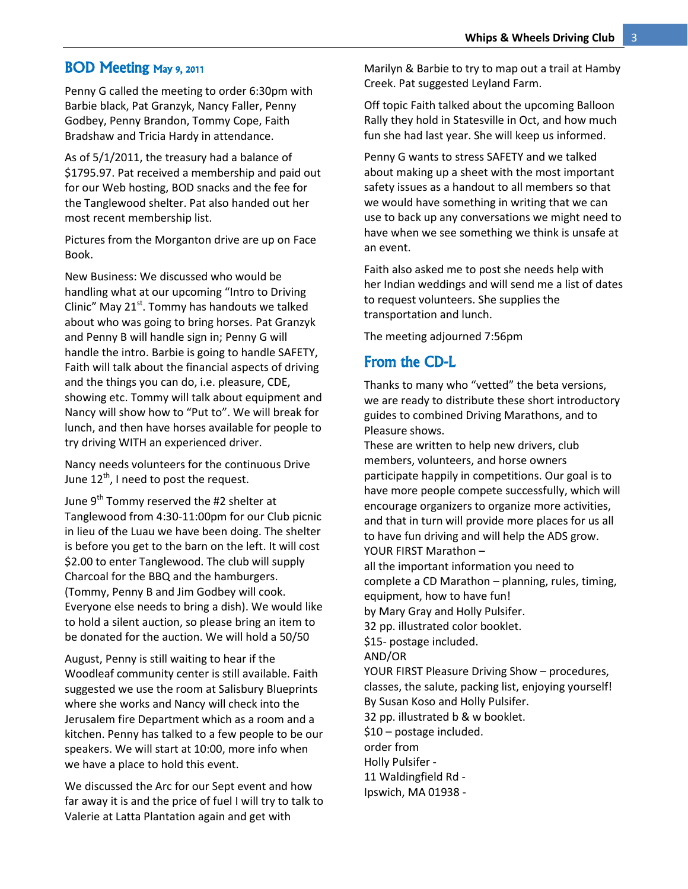#### BOD Meeting May 9, 2011

Penny G called the meeting to order 6:30pm with Barbie black, Pat Granzyk, Nancy Faller, Penny Godbey, Penny Brandon, Tommy Cope, Faith Bradshaw and Tricia Hardy in attendance.

As of 5/1/2011, the treasury had a balance of \$1795.97. Pat received a membership and paid out for our Web hosting, BOD snacks and the fee for the Tanglewood shelter. Pat also handed out her most recent membership list.

Pictures from the Morganton drive are up on Face Book.

New Business: We discussed who would be handling what at our upcoming "Intro to Driving Clinic" May  $21<sup>st</sup>$ . Tommy has handouts we talked about who was going to bring horses. Pat Granzyk and Penny B will handle sign in; Penny G will handle the intro. Barbie is going to handle SAFETY, Faith will talk about the financial aspects of driving and the things you can do, i.e. pleasure, CDE, showing etc. Tommy will talk about equipment and Nancy will show how to "Put to". We will break for lunch, and then have horses available for people to try driving WITH an experienced driver.

Nancy needs volunteers for the continuous Drive June  $12^{th}$ , I need to post the request.

June 9<sup>th</sup> Tommy reserved the #2 shelter at Tanglewood from 4:30-11:00pm for our Club picnic in lieu of the Luau we have been doing. The shelter is before you get to the barn on the left. It will cost \$2.00 to enter Tanglewood. The club will supply Charcoal for the BBQ and the hamburgers. (Tommy, Penny B and Jim Godbey will cook. Everyone else needs to bring a dish). We would like to hold a silent auction, so please bring an item to be donated for the auction. We will hold a 50/50

August, Penny is still waiting to hear if the Woodleaf community center is still available. Faith suggested we use the room at Salisbury Blueprints where she works and Nancy will check into the Jerusalem fire Department which as a room and a kitchen. Penny has talked to a few people to be our speakers. We will start at 10:00, more info when we have a place to hold this event.

We discussed the Arc for our Sept event and how far away it is and the price of fuel I will try to talk to Valerie at Latta Plantation again and get with

Marilyn & Barbie to try to map out a trail at Hamby Creek. Pat suggested Leyland Farm.

Off topic Faith talked about the upcoming Balloon Rally they hold in Statesville in Oct, and how much fun she had last year. She will keep us informed.

Penny G wants to stress SAFETY and we talked about making up a sheet with the most important safety issues as a handout to all members so that we would have something in writing that we can use to back up any conversations we might need to have when we see something we think is unsafe at an event.

Faith also asked me to post she needs help with her Indian weddings and will send me a list of dates to request volunteers. She supplies the transportation and lunch.

The meeting adjourned 7:56pm

#### From the CD-L

Thanks to many who "vetted" the beta versions, we are ready to distribute these short introductory guides to combined Driving Marathons, and to Pleasure shows.

These are written to help new drivers, club members, volunteers, and horse owners participate happily in competitions. Our goal is to have more people compete successfully, which will encourage organizers to organize more activities, and that in turn will provide more places for us all to have fun driving and will help the ADS grow. YOUR FIRST Marathon –

all the important information you need to complete a CD Marathon – planning, rules, timing, equipment, how to have fun!

by Mary Gray and Holly Pulsifer.

32 pp. illustrated color booklet.

\$15- postage included. AND/OR

YOUR FIRST Pleasure Driving Show – procedures, classes, the salute, packing list, enjoying yourself! By Susan Koso and Holly Pulsifer.

32 pp. illustrated b & w booklet.

\$10 – postage included.

order from

Holly Pulsifer -

11 Waldingfield Rd -

Ipswich, MA 01938 -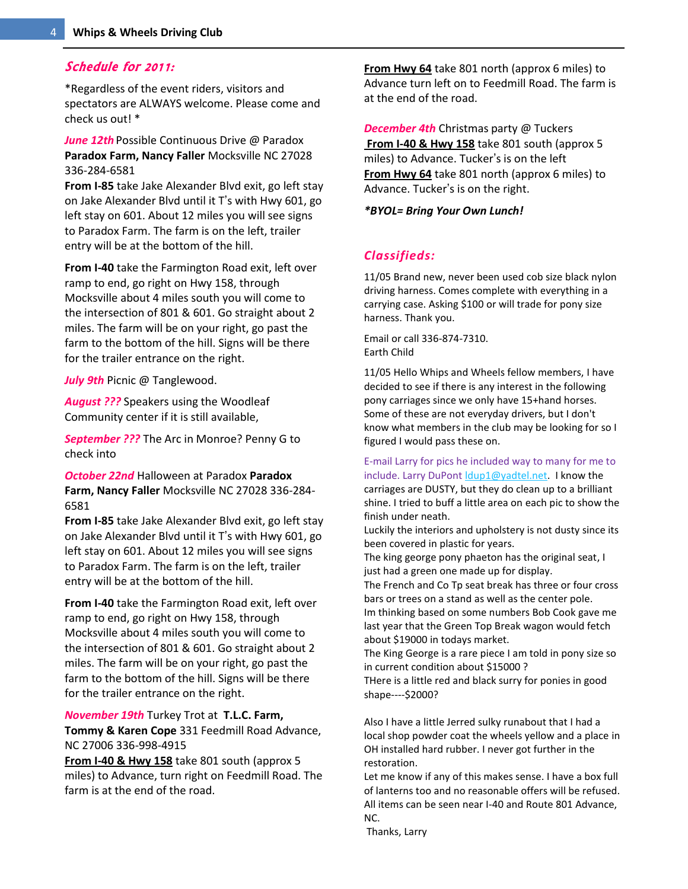#### Schedule for 2011:

\*Regardless of the event riders, visitors and spectators are ALWAYS welcome. Please come and check us out! \*

*June 12th* Possible Continuous Drive @ Paradox **Paradox Farm, Nancy Faller** Mocksville NC 27028 336-284-6581

**From I-85** take Jake Alexander Blvd exit, go left stay on Jake Alexander Blvd until it T's with Hwy 601, go left stay on 601. About 12 miles you will see signs to Paradox Farm. The farm is on the left, trailer entry will be at the bottom of the hill.

**From I-40** take the Farmington Road exit, left over ramp to end, go right on Hwy 158, through Mocksville about 4 miles south you will come to the intersection of 801 & 601. Go straight about 2 miles. The farm will be on your right, go past the farm to the bottom of the hill. Signs will be there for the trailer entrance on the right.

*July 9th* Picnic @ Tanglewood.

*August ???* Speakers using the Woodleaf Community center if it is still available,

*September ???* The Arc in Monroe? Penny G to check into

*October 22nd* Halloween at Paradox **Paradox Farm, Nancy Faller** Mocksville NC 27028 336-284- 6581

**From I-85** take Jake Alexander Blvd exit, go left stay on Jake Alexander Blvd until it T's with Hwy 601, go left stay on 601. About 12 miles you will see signs to Paradox Farm. The farm is on the left, trailer entry will be at the bottom of the hill.

**From I-40** take the Farmington Road exit, left over ramp to end, go right on Hwy 158, through Mocksville about 4 miles south you will come to the intersection of 801 & 601. Go straight about 2 miles. The farm will be on your right, go past the farm to the bottom of the hill. Signs will be there for the trailer entrance on the right.

*November 19th* Turkey Trot at **T.L.C. Farm,** 

**Tommy & Karen Cope** 331 Feedmill Road Advance, NC 27006 336-998-4915

**From I-40 & Hwy 158** take 801 south (approx 5 miles) to Advance, turn right on Feedmill Road. The farm is at the end of the road.

**From Hwy 64** take 801 north (approx 6 miles) to Advance turn left on to Feedmill Road. The farm is at the end of the road.

*December 4th* Christmas party @ Tuckers **From I-40 & Hwy 158** take 801 south (approx 5 miles) to Advance. Tucker's is on the left **From Hwy 64** take 801 north (approx 6 miles) to Advance. Tucker's is on the right.

*\*BYOL= Bring Your Own Lunch!*

### *Classifieds:*

11/05 Brand new, never been used cob size black nylon driving harness. Comes complete with everything in a carrying case. Asking \$100 or will trade for pony size harness. Thank you.

Email or call 336-874-7310. Earth Child

11/05 Hello Whips and Wheels fellow members, I have decided to see if there is any interest in the following pony carriages since we only have 15+hand horses. Some of these are not everyday drivers, but I don't know what members in the club may be looking for so I figured I would pass these on.

E-mail Larry for pics he included way to many for me to include. Larry DuPont |dup1@yadtel.net. I know the

carriages are DUSTY, but they do clean up to a brilliant shine. I tried to buff a little area on each pic to show the finish under neath.

Luckily the interiors and upholstery is not dusty since its been covered in plastic for years.

The king george pony phaeton has the original seat, I just had a green one made up for display.

The French and Co Tp seat break has three or four cross bars or trees on a stand as well as the center pole.

Im thinking based on some numbers Bob Cook gave me last year that the Green Top Break wagon would fetch about \$19000 in todays market.

The King George is a rare piece I am told in pony size so in current condition about \$15000 ?

THere is a little red and black surry for ponies in good shape----\$2000?

Also I have a little Jerred sulky runabout that I had a local shop powder coat the wheels yellow and a place in OH installed hard rubber. I never got further in the restoration.

Let me know if any of this makes sense. I have a box full of lanterns too and no reasonable offers will be refused. All items can be seen near I-40 and Route 801 Advance, NC.

Thanks, Larry